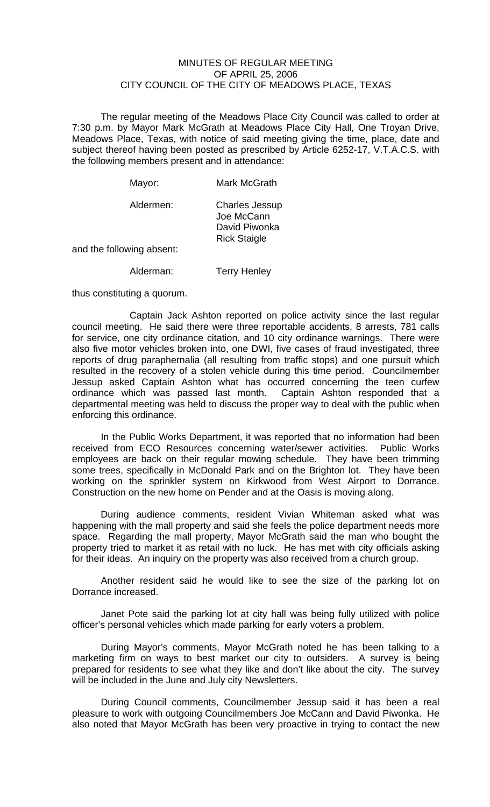## MINUTES OF REGULAR MEETING OF APRIL 25, 2006 CITY COUNCIL OF THE CITY OF MEADOWS PLACE, TEXAS

The regular meeting of the Meadows Place City Council was called to order at 7:30 p.m. by Mayor Mark McGrath at Meadows Place City Hall, One Troyan Drive, Meadows Place, Texas, with notice of said meeting giving the time, place, date and subject thereof having been posted as prescribed by Article 6252-17, V.T.A.C.S. with the following members present and in attendance:

| Mayor:        | Mark McGrath                                                                |
|---------------|-----------------------------------------------------------------------------|
| Aldermen:     | <b>Charles Jessup</b><br>Joe McCann<br>David Piwonka<br><b>Rick Staigle</b> |
| owing aheant: |                                                                             |

and the following absent:

Alderman: Terry Henley

thus constituting a quorum.

 Captain Jack Ashton reported on police activity since the last regular council meeting. He said there were three reportable accidents, 8 arrests, 781 calls for service, one city ordinance citation, and 10 city ordinance warnings. There were also five motor vehicles broken into, one DWI, five cases of fraud investigated, three reports of drug paraphernalia (all resulting from traffic stops) and one pursuit which resulted in the recovery of a stolen vehicle during this time period. Councilmember Jessup asked Captain Ashton what has occurred concerning the teen curfew ordinance which was passed last month. Captain Ashton responded that a departmental meeting was held to discuss the proper way to deal with the public when enforcing this ordinance.

 In the Public Works Department, it was reported that no information had been received from ECO Resources concerning water/sewer activities. Public Works employees are back on their regular mowing schedule. They have been trimming some trees, specifically in McDonald Park and on the Brighton lot. They have been working on the sprinkler system on Kirkwood from West Airport to Dorrance. Construction on the new home on Pender and at the Oasis is moving along.

 During audience comments, resident Vivian Whiteman asked what was happening with the mall property and said she feels the police department needs more space. Regarding the mall property, Mayor McGrath said the man who bought the property tried to market it as retail with no luck. He has met with city officials asking for their ideas. An inquiry on the property was also received from a church group.

 Another resident said he would like to see the size of the parking lot on Dorrance increased.

 Janet Pote said the parking lot at city hall was being fully utilized with police officer's personal vehicles which made parking for early voters a problem.

During Mayor's comments, Mayor McGrath noted he has been talking to a marketing firm on ways to best market our city to outsiders. A survey is being prepared for residents to see what they like and don't like about the city. The survey will be included in the June and July city Newsletters.

During Council comments, Councilmember Jessup said it has been a real pleasure to work with outgoing Councilmembers Joe McCann and David Piwonka. He also noted that Mayor McGrath has been very proactive in trying to contact the new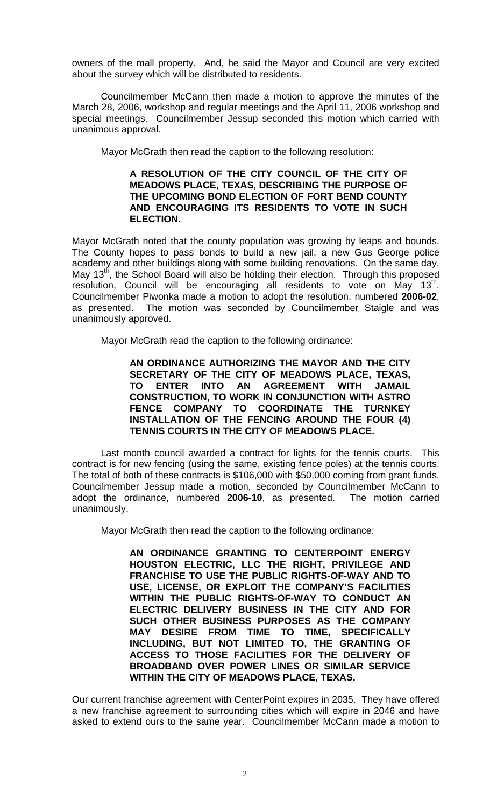owners of the mall property. And, he said the Mayor and Council are very excited about the survey which will be distributed to residents.

Councilmember McCann then made a motion to approve the minutes of the March 28, 2006, workshop and regular meetings and the April 11, 2006 workshop and special meetings. Councilmember Jessup seconded this motion which carried with unanimous approval.

Mayor McGrath then read the caption to the following resolution:

## **A RESOLUTION OF THE CITY COUNCIL OF THE CITY OF MEADOWS PLACE, TEXAS, DESCRIBING THE PURPOSE OF THE UPCOMING BOND ELECTION OF FORT BEND COUNTY AND ENCOURAGING ITS RESIDENTS TO VOTE IN SUCH ELECTION.**

Mayor McGrath noted that the county population was growing by leaps and bounds. The County hopes to pass bonds to build a new jail, a new Gus George police academy and other buildings along with some building renovations. On the same day, May 13<sup>th</sup>, the School Board will also be holding their election. Through this proposed resolution, Council will be encouraging all residents to vote on May  $13<sup>th</sup>$ . Councilmember Piwonka made a motion to adopt the resolution, numbered **2006-02**, as presented. The motion was seconded by Councilmember Staigle and was unanimously approved.

Mayor McGrath read the caption to the following ordinance:

**AN ORDINANCE AUTHORIZING THE MAYOR AND THE CITY SECRETARY OF THE CITY OF MEADOWS PLACE, TEXAS, TO ENTER INTO AN AGREEMENT WITH JAMAIL CONSTRUCTION, TO WORK IN CONJUNCTION WITH ASTRO FENCE COMPANY TO COORDINATE THE TURNKEY INSTALLATION OF THE FENCING AROUND THE FOUR (4) TENNIS COURTS IN THE CITY OF MEADOWS PLACE.** 

 Last month council awarded a contract for lights for the tennis courts. This contract is for new fencing (using the same, existing fence poles) at the tennis courts. The total of both of these contracts is \$106,000 with \$50,000 coming from grant funds. Councilmember Jessup made a motion, seconded by Councilmember McCann to adopt the ordinance, numbered **2006-10**, as presented. The motion carried unanimously.

Mayor McGrath then read the caption to the following ordinance:

**AN ORDINANCE GRANTING TO CENTERPOINT ENERGY HOUSTON ELECTRIC, LLC THE RIGHT, PRIVILEGE AND FRANCHISE TO USE THE PUBLIC RIGHTS-OF-WAY AND TO USE, LICENSE, OR EXPLOIT THE COMPANY'S FACILITIES WITHIN THE PUBLIC RIGHTS-OF-WAY TO CONDUCT AN ELECTRIC DELIVERY BUSINESS IN THE CITY AND FOR SUCH OTHER BUSINESS PURPOSES AS THE COMPANY MAY DESIRE FROM TIME TO TIME, SPECIFICALLY INCLUDING, BUT NOT LIMITED TO, THE GRANTING OF ACCESS TO THOSE FACILITIES FOR THE DELIVERY OF BROADBAND OVER POWER LINES OR SIMILAR SERVICE WITHIN THE CITY OF MEADOWS PLACE, TEXAS.** 

Our current franchise agreement with CenterPoint expires in 2035. They have offered a new franchise agreement to surrounding cities which will expire in 2046 and have asked to extend ours to the same year. Councilmember McCann made a motion to